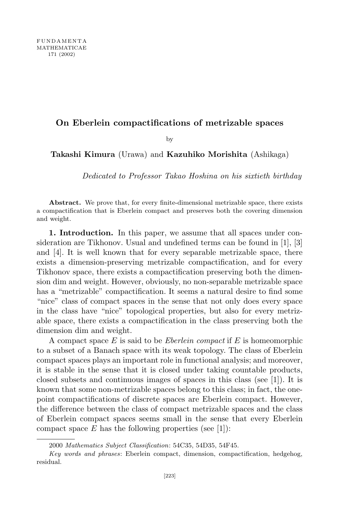## **On Eberlein compactifications of metrizable spaces**

by

## **Takashi Kimura** (Urawa) and **Kazuhiko Morishita** (Ashikaga)

*Dedicated to Professor Takao Hoshina on his sixtieth birthday*

**Abstract.** We prove that, for every finite-dimensional metrizable space, there exists a compactification that is Eberlein compact and preserves both the covering dimension and weight.

**1. Introduction.** In this paper, we assume that all spaces under consideration are Tikhonov. Usual and undefined terms can be found in [1], [3] and [4]. It is well known that for every separable metrizable space, there exists a dimension-preserving metrizable compactification, and for every Tikhonov space, there exists a compactification preserving both the dimension dim and weight. However, obviously, no non-separable metrizable space has a "metrizable" compactification. It seems a natural desire to find some "nice" class of compact spaces in the sense that not only does every space in the class have "nice" topological properties, but also for every metrizable space, there exists a compactification in the class preserving both the dimension dim and weight.

A compact space *E* is said to be *Eberlein compact* if *E* is homeomorphic to a subset of a Banach space with its weak topology. The class of Eberlein compact spaces plays an important role in functional analysis; and moreover, it is stable in the sense that it is closed under taking countable products, closed subsets and continuous images of spaces in this class (see [1]). It is known that some non-metrizable spaces belong to this class; in fact, the onepoint compactifications of discrete spaces are Eberlein compact. However, the difference between the class of compact metrizable spaces and the class of Eberlein compact spaces seems small in the sense that every Eberlein compact space  $E$  has the following properties (see [1]):

<sup>2000</sup> *Mathematics Subject Classification*: 54C35, 54D35, 54F45.

*Key words and phrases*: Eberlein compact, dimension, compactification, hedgehog, residual.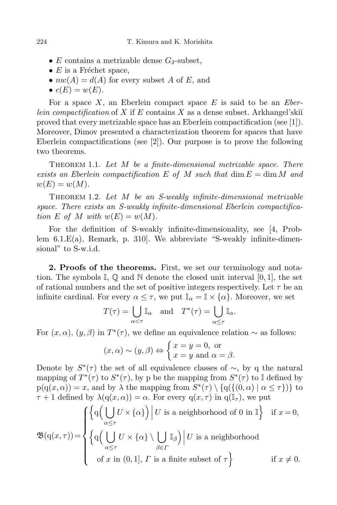- *E* contains a metrizable dense  $G_{\delta}$ -subset,
- $E$  is a Fréchet space,
- $nw(A) = d(A)$  for every subset *A* of *E*, and
- $c(E) = w(E)$ .

For a space *X*, an Eberlein compact space *E* is said to be an *Eberlein compactification* of  $X$  if  $E$  contains  $X$  as a dense subset. Arkhangel'ski $\tilde{I}$ proved that every metrizable space has an Eberlein compactification (see [1]). Moreover, Dimov presented a characterization theorem for spaces that have Eberlein compactifications (see [2]). Our purpose is to prove the following two theorems.

Theorem 1.1. *Let M be a finite-dimensional metrizable space. There exists an Eberlein compactification E of M such that* dim *E* = dim*M and*  $w(E) = w(M)$ .

Theorem 1.2. *Let M be an S-weakly infinite-dimensional metrizable space. There exists an S-weakly infinite-dimensional Eberlein compactification*  $E$  *of*  $M$  *with*  $w(E) = w(M)$ *.* 

For the definition of S-weakly infinite-dimensionality, see [4, Problem 6.1.E(a), Remark, p. 310]. We abbreviate "S-weakly infinite-dimensional" to S-w.i.d.

**2. Proofs of the theorems.** First, we set our terminology and notation. The symbols  $\mathbb{I}, \mathbb{Q}$  and  $\mathbb{N}$  denote the closed unit interval  $[0, 1]$ , the set of rational numbers and the set of positive integers respectively. Let *τ* be an infinite cardinal. For every  $\alpha \leq \tau$ , we put  $\mathbb{I}_{\alpha} = \mathbb{I} \times {\alpha}$ . Moreover, we set

$$
T(\tau) = \bigcup_{\alpha < \tau} \mathbb{I}_{\alpha}
$$
 and  $T^*(\tau) = \bigcup_{\alpha \leq \tau} \mathbb{I}_{\alpha}$ .

For  $(x, \alpha)$ ,  $(y, \beta)$  in  $T^*(\tau)$ , we define an equivalence relation  $\sim$  as follows:

$$
(x, \alpha) \sim (y, \beta) \Leftrightarrow \begin{cases} x = y = 0, \text{ or} \\ x = y \text{ and } \alpha = \beta. \end{cases}
$$

Denote by  $S^*(\tau)$  the set of all equivalence classes of  $\sim$ , by q the natural mapping of  $T^*(\tau)$  to  $S^*(\tau)$ , by p be the mapping from  $S^*(\tau)$  to I defined by  $p(q(x, \alpha)) = x$ , and by  $\lambda$  the mapping from  $S^*(\tau) \setminus \{q(\{(0, \alpha) \mid \alpha \leq \tau\})\}$  to *τ* + 1 defined by  $\lambda(q(x, \alpha)) = \alpha$ . For every  $q(x, \tau)$  in  $q(\mathbb{I}_{\tau})$ , we put

$$
\mathfrak{B}(q(x,\tau)) = \begin{cases} \left\{ q \left( \bigcup_{\alpha \leq \tau} U \times \{\alpha\} \right) \middle| U \text{ is a neighborhood of } 0 \text{ in } \mathbb{I} \right\} & \text{if } x = 0, \\ \left\{ q \left( \bigcup_{\alpha \leq \tau} U \times \{\alpha\} \setminus \bigcup_{\beta \in \Gamma} \mathbb{I}_{\beta} \right) \middle| U \text{ is a neighborhood} \right. \\ & \text{of } x \text{ in } (0,1], \ \Gamma \text{ is a finite subset of } \tau \right\} & \text{if } x \neq 0. \end{cases}
$$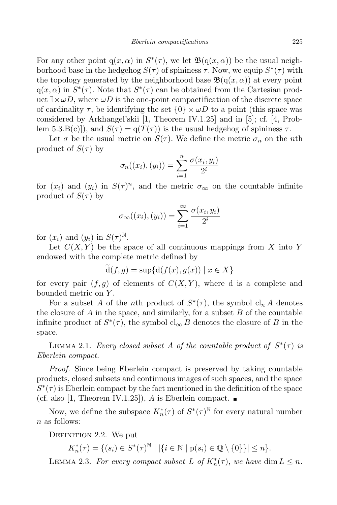For any other point  $q(x, \alpha)$  in  $S^*(\tau)$ , we let  $\mathfrak{B}(q(x, \alpha))$  be the usual neighborhood base in the hedgehog  $S(\tau)$  of spininess  $\tau$ . Now, we equip  $S^*(\tau)$  with the topology generated by the neighborhood base  $\mathfrak{B}(q(x, \alpha))$  at every point  $q(x, \alpha)$  in  $S^*(\tau)$ . Note that  $S^*(\tau)$  can be obtained from the Cartesian product  $\mathbb{I} \times \omega D$ , where  $\omega D$  is the one-point compactification of the discrete space of cardinality  $\tau$ , be identifying the set  $\{0\} \times \omega D$  to a point (this space was considered by Arkhangel'skiı̆ $[1,$  Theorem IV.1.25] and in [5]; cf. [4, Problem 5.3.B(c)]), and  $S(\tau) = q(T(\tau))$  is the usual hedgehog of spininess  $\tau$ .

Let  $\sigma$  be the usual metric on  $S(\tau)$ . We define the metric  $\sigma_n$  on the *n*th product of  $S(\tau)$  by

$$
\sigma_n((x_i),(y_i)) = \sum_{i=1}^n \frac{\sigma(x_i,y_i)}{2^i}
$$

for  $(x_i)$  and  $(y_i)$  in  $S(\tau)^n$ , and the metric  $\sigma_\infty$  on the countable infinite product of  $S(\tau)$  by

$$
\sigma_{\infty}((x_i),(y_i)) = \sum_{i=1}^{\infty} \frac{\sigma(x_i,y_i)}{2^i}
$$

for  $(x_i)$  and  $(y_i)$  in  $S(\tau)^{\mathbb{N}}$ .

Let  $C(X, Y)$  be the space of all continuous mappings from X into Y endowed with the complete metric defined by

 $\widetilde{d}(f, q) = \sup \{d(f(x), q(x)) \mid x \in X\}$ 

for every pair  $(f, g)$  of elements of  $C(X, Y)$ , where d is a complete and bounded metric on *Y* .

For a subset *A* of the *n*th product of  $S^*(\tau)$ , the symbol  $cl_n A$  denotes the closure of *A* in the space, and similarly, for a subset *B* of the countable infinite product of  $S^*(\tau)$ , the symbol  $cl_{\infty}B$  denotes the closure of *B* in the space.

**LEMMA** 2.1. *Every closed subset A of the countable product of*  $S^*(\tau)$  *is Eberlein compact.*

*Proof.* Since being Eberlein compact is preserved by taking countable products, closed subsets and continuous images of such spaces, and the space  $S^*(\tau)$  is Eberlein compact by the fact mentioned in the definition of the space (cf. also [1, Theorem IV.1.25]), *A* is Eberlein compact.  $\blacksquare$ 

Now, we define the subspace  $K_n^*(\tau)$  of  $S^*(\tau)^{\mathbb{N}}$  for every natural number *n* as follows:

DEFINITION 2.2. We put

 $K_n^*(\tau) = \{(s_i) \in S^*(\tau)^{\mathbb{N}} \mid |\{i \in \mathbb{N} \mid p(s_i) \in \mathbb{Q} \setminus \{0\}\}| \leq n\}.$ 

LEMMA 2.3. For every compact subset  $L$  of  $K_n^*(\tau)$ , we have  $\dim L \leq n$ .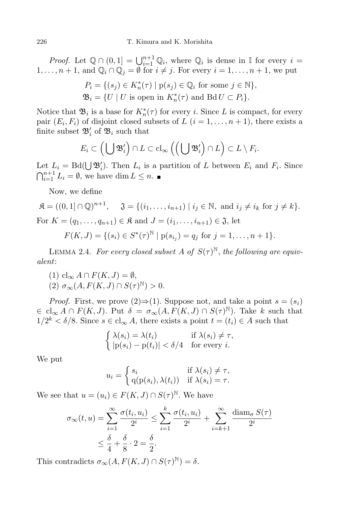*Proof.* Let  $\mathbb{Q} \cap (0,1] = \bigcup_{i=1}^{n+1} \mathbb{Q}_i$ , where  $\mathbb{Q}_i$  is dense in I for every  $i =$ 1,  $\dots$ , *n* + 1, and  $\mathbb{Q}_i$  ∩  $\mathbb{Q}_j$  =  $\emptyset$  for  $i \neq j$ . For every  $i = 1, \dots, n + 1$ , we put

$$
P_i = \{(s_j) \in K_n^*(\tau) \mid p(s_j) \in \mathbb{Q}_i \text{ for some } j \in \mathbb{N}\},\
$$
  

$$
\mathfrak{B}_i = \{U \mid U \text{ is open in } K_n^*(\tau) \text{ and } \text{Bd } U \subset P_i\}.
$$

Notice that  $\mathfrak{B}_i$  is a base for  $K_n^*(\tau)$  for every *i*. Since *L* is compact, for every pair  $(E_i, F_i)$  of disjoint closed subsets of  $L$   $(i = 1, \ldots, n + 1)$ , there exists a finite subset  $\mathfrak{B}'_i$  of  $\mathfrak{B}_i$  such that

$$
E_i \subset \left(\bigcup \mathfrak{B}'_i\right) \cap L \subset \mathrm{cl}_{\infty}\left(\left(\bigcup \mathfrak{B}'_i\right) \cap L\right) \subset L \setminus F_i.
$$

Let  $L_i = \text{Bd}(\bigcup \mathfrak{B}'_i)$ . Then  $L_i$  is a partition of *L* between  $E_i$  and  $F_i$ . Since  $\bigcap_{i=1}^{n+1} L_i = \emptyset$ , we have dim  $L \leq n$ .

Now, we define

$$
\mathfrak{K} = ((0,1] \cap \mathbb{Q})^{n+1}, \quad \mathfrak{J} = \{(i_1, \dots, i_{n+1}) \mid i_j \in \mathbb{N}, \text{ and } i_j \neq i_k \text{ for } j \neq k\}.
$$
  
For  $K = (q_1, \dots, q_{n+1}) \in \mathfrak{K}$  and  $J = (i_1, \dots, i_{n+1}) \in \mathfrak{J}$ , let  

$$
F(K, J) = \{(s_i) \in S^*(\tau)^{\mathbb{N}} \mid p(s_{i_j}) = q_j \text{ for } j = 1, \dots, n+1\}.
$$

LEMMA 2.4. *For every closed subset A of*  $S(\tau)^{\mathbb{N}}$ , *the following are equivalent*:

$$
(1) cl_{\infty} A \cap F(K, J) = \emptyset,
$$

 $(2) \sigma_{\infty}(A, F(K, J) \cap S(\tau)^{\mathbb{N}}) > 0.$ 

*Proof.* First, we prove  $(2) \Rightarrow (1)$ . Suppose not, and take a point  $s = (s_i)$  $\in$  cl<sub>∞</sub> *A*  $\cap$  *F*(*K, J*). Put  $\delta = \sigma_{\infty}(A, F(K, J) \cap S(\tau)^{\mathbb{N}})$ . Take *k* such that  $1/2^k < \delta/8$ . Since  $s \in cl_\infty A$ , there exists a point  $t = (t_i) \in A$  such that

$$
\begin{cases} \lambda(s_i) = \lambda(t_i) & \text{if } \lambda(s_i) \neq \tau, \\ |p(s_i) - p(t_i)| < \delta/4 & \text{for every } i. \end{cases}
$$

We put

$$
u_i = \begin{cases} s_i & \text{if } \lambda(s_i) \neq \tau, \\ \mathbf{q}(\mathbf{p}(s_i), \lambda(t_i)) & \text{if } \lambda(s_i) = \tau. \end{cases}
$$

We see that  $u = (u_i) \in F(K, J) \cap S(\tau)^{\mathbb{N}}$ . We have

$$
\sigma_{\infty}(t, u) = \sum_{i=1}^{\infty} \frac{\sigma(t_i, u_i)}{2^i} \le \sum_{i=1}^{k} \frac{\sigma(t_i, u_i)}{2^i} + \sum_{i=k+1}^{\infty} \frac{\text{diam}_{\sigma} S(\tau)}{2^i}
$$

$$
\le \frac{\delta}{4} + \frac{\delta}{8} \cdot 2 = \frac{\delta}{2}.
$$

This contradicts  $\sigma_{\infty}(A, F(K, J) \cap S(\tau)^{\mathbb{N}}) = \delta$ .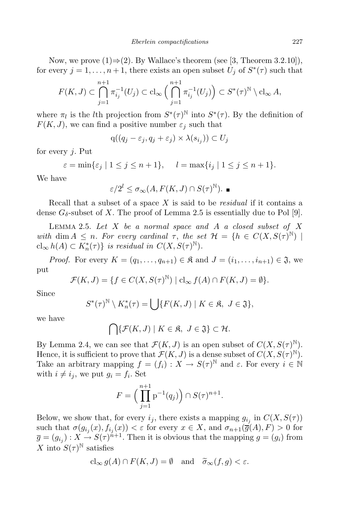Now, we prove  $(1) \Rightarrow (2)$ . By Wallace's theorem (see [3, Theorem 3.2.10]), for every  $j = 1, \ldots, n + 1$ , there exists an open subset  $U_j$  of  $S^*(\tau)$  such that

$$
F(K,J) \subset \bigcap_{j=1}^{n+1} \pi_{i_j}^{-1}(U_j) \subset \mathrm{cl}_{\infty}\Big(\bigcap_{j=1}^{n+1} \pi_{i_j}^{-1}(U_j)\Big) \subset S^*(\tau)^{\mathbb{N}} \setminus \mathrm{cl}_{\infty} A,
$$

where  $\pi_l$  is the *l*th projection from  $S^*(\tau)^{\mathbb{N}}$  into  $S^*(\tau)$ . By the definition of *F*(*K, J*), we can find a positive number  $\varepsilon_j$  such that

$$
q((q_j - \varepsilon_j, q_j + \varepsilon_j) \times \lambda(s_{i_j})) \subset U_j
$$

for every *j*. Put

 $\varepsilon = \min\{\varepsilon_j \mid 1 \leq j \leq n+1\}, \quad l = \max\{i_j \mid 1 \leq j \leq n+1\}.$ 

We have

$$
\varepsilon/2^l \le \sigma_\infty(A, F(K, J) \cap S(\tau)^\mathbb{N}).
$$

Recall that a subset of a space *X* is said to be *residual* if it contains a dense  $G_{\delta}$ -subset of X. The proof of Lemma 2.5 is essentially due to Pol [9].

Lemma 2.5. *Let X be a normal space and A a closed subset of X with* dim  $A \leq n$ *. For every cardinal*  $\tau$ *, the set*  $\mathcal{H} = \{h \in C(X, S(\tau)^{\mathbb{N}}) \mid$  $cl_{\infty} h(A) \subset K_n^*(\tau) \}$  *is residual in*  $C(X, S(\tau)^{\mathbb{N}})$ *.* 

*Proof.* For every  $K = (q_1, \ldots, q_{n+1}) \in \mathfrak{K}$  and  $J = (i_1, \ldots, i_{n+1}) \in \mathfrak{J}$ , we put

$$
\mathcal{F}(K, J) = \{ f \in C(X, S(\tau)^{\mathbb{N}}) \mid \operatorname{cl}_{\infty} f(A) \cap F(K, J) = \emptyset \}.
$$

Since

$$
S^*(\tau)^{\mathbb{N}} \setminus K_n^*(\tau) = \bigcup \{ F(K, J) \mid K \in \mathfrak{K}, J \in \mathfrak{J} \},
$$

we have

$$
\bigcap \{ \mathcal{F}(K,J) \mid K \in \mathfrak{K}, J \in \mathfrak{J} \} \subset \mathcal{H}.
$$

By Lemma 2.4, we can see that  $\mathcal{F}(K, J)$  is an open subset of  $C(X, S(\tau)^{\mathbb{N}})$ . Hence, it is sufficient to prove that  $\mathcal{F}(K, J)$  is a dense subset of  $C(X, S(\tau)^{\mathbb{N}})$ . Take an arbitrary mapping  $f = (f_i) : X \to S(\tau)^{\mathbb{N}}$  and  $\varepsilon$ . For every  $i \in \mathbb{N}$ with  $i \neq i_j$ , we put  $g_i = f_i$ . Set

$$
F = \Big(\prod_{j=1}^{n+1} p^{-1}(q_j)\Big) \cap S(\tau)^{n+1}.
$$

Below, we show that, for every  $i_j$ , there exists a mapping  $g_{i_j}$  in  $C(X, S(\tau))$ such that  $\sigma(g_{i_j}(x), f_{i_j}(x)) < \varepsilon$  for every  $x \in X$ , and  $\sigma_{n+1}(\overline{g}(A), F) > 0$  for  $\overline{g} = (g_{i_j}) : X \to S(\tau)^{n+1}$ . Then it is obvious that the mapping  $g = (g_i)$  from *X* into  $S(\tau)^{\mathbb{N}}$  satisfies

$$
\operatorname{cl}_{\infty} g(A) \cap F(K, J) = \emptyset \quad \text{and} \quad \widetilde{\sigma}_{\infty}(f, g) < \varepsilon.
$$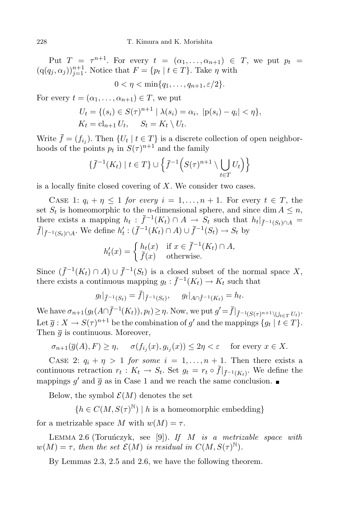Put  $T = \tau^{n+1}$ . For every  $t = (\alpha_1, \ldots, \alpha_{n+1}) \in T$ , we put  $p_t =$  $(q(q_j, \alpha_j))_{j=1}^{n+1}$ . Notice that  $F = \{p_t \mid t \in T\}$ . Take  $\eta$  with

$$
0<\eta<\min\{q_1,\ldots,q_{n+1},\varepsilon/2\}.
$$

For every  $t = (\alpha_1, \ldots, \alpha_{n+1}) \in T$ , we put

$$
U_t = \{(s_i) \in S(\tau)^{n+1} \mid \lambda(s_i) = \alpha_i, \ |p(s_i) - q_i| < \eta\}, \\
K_t = cl_{n+1} U_t, \quad S_t = K_t \setminus U_t.
$$

Write  $f = (f_{i_j})$ . Then  $\{U_t \mid t \in T\}$  is a discrete collection of open neighborhoods of the points  $p_t$  in  $S(\tau)^{n+1}$  and the family

$$
\left\{ \overline{f}^{-1}(K_t) \mid t \in T \right\} \cup \left\{ \overline{f}^{-1}\left( S(\tau)^{n+1} \setminus \bigcup_{t \in T} U_t \right) \right\}
$$

is a locally finite closed covering of *X*. We consider two cases.

CASE 1:  $q_i + \eta \leq 1$  *for every*  $i = 1, \ldots, n + 1$ . For every  $t \in T$ , the set  $S_t$  is homeomorphic to the *n*-dimensional sphere, and since dim  $A \leq n$ , there exists a mapping  $h_t: \overline{f}^{-1}(K_t) \cap A \to S_t$  such that  $h_t|_{\overline{f}^{-1}(S_t) \cap A} = \overline{f}$  $\bar{f}|_{\bar{f}^{-1}(S_t)\cap A}$ . We define  $h'_t : (\bar{f}^{-1}(K_t)\cap A) \cup \bar{f}^{-1}(S_t) \to S_t$  by

$$
h'_t(x) = \begin{cases} h_t(x) & \text{if } x \in \overline{f}^{-1}(K_t) \cap A, \\ \overline{f}(x) & \text{otherwise.} \end{cases}
$$

Since  $(\bar{f}^{-1}(K_t) \cap A) \cup \bar{f}^{-1}(S_t)$  is a closed subset of the normal space X, there exists a continuous mapping  $g_t: \bar{f}^{-1}(K_t) \to K_t$  such that

$$
g_t|_{\bar{f}^{-1}(S_t)} = \bar{f}|_{\bar{f}^{-1}(S_t)}, \quad g_t|_{A \cap \bar{f}^{-1}(K_t)} = h_t.
$$

We have  $\sigma_{n+1}(g_t(A \cap \overline{f}^{-1}(K_t)), p_t) \geq \eta$ . Now, we put  $g' = \overline{f}|_{\overline{f}^{-1}(S(\tau))^{n+1} \setminus \bigcup_{t \in T} U_t)}$ . Let  $\overline{g}: X \to S(\tau)^{n+1}$  be the combination of  $g'$  and the mappings  $\{g_t \mid t \in T\}$ . Then  $\overline{q}$  is continuous. Moreover,

$$
\sigma_{n+1}(\overline{g}(A), F) \ge \eta, \quad \sigma(f_{i_j}(x), g_{i_j}(x)) \le 2\eta < \varepsilon \quad \text{for every } x \in X.
$$

CASE 2:  $q_i + \eta > 1$  *for some*  $i = 1, \ldots, n + 1$ . Then there exists a continuous retraction  $r_t: K_t \to S_t$ . Set  $g_t = r_t \circ f|_{\bar{f}^{-1}(K_t)}$ . We define the mappings  $g'$  and  $\overline{g}$  as in Case 1 and we reach the same conclusion.

Below, the symbol  $\mathcal{E}(M)$  denotes the set

 ${h \in C(M, S(\tau^N) \mid h \text{ is a homeomorphic embedding}}$ 

for a metrizable space M with  $w(M) = \tau$ .

LEMMA 2.6 (Torunczyk, see [9]). *If M is a* metrizable space with  $w(M) = \tau$ , *then the set*  $\mathcal{E}(M)$  *is residual in*  $C(M, S(\tau)^{\mathbb{N}})$ *.* 

By Lemmas 2.3, 2.5 and 2.6, we have the following theorem.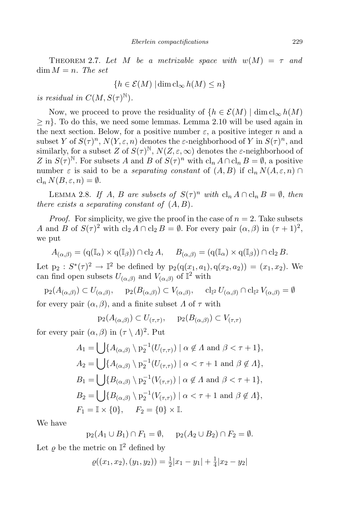THEOREM 2.7. Let M be a metrizable space with  $w(M) = \tau$  and  $\dim M = n$ *. The set* 

$$
\{h \in \mathcal{E}(M) \mid \dim \mathrm{cl}_{\infty} \, h(M) \le n\}
$$

*is residual in*  $C(M, S(\tau)^{N}).$ 

Now, we proceed to prove the residuality of  ${h \in \mathcal{E}(M) \mid \dim \mathrm{cl}_{\infty} h(M)}$  $\geq n$ <sup>}</sup>. To do this, we need some lemmas. Lemma 2.10 will be used again in the next section. Below, for a positive number  $\varepsilon$ , a positive integer *n* and a subset *Y* of  $S(\tau)^n$ ,  $N(Y, \varepsilon, n)$  denotes the  $\varepsilon$ -neighborhood of *Y* in  $S(\tau)^n$ , and similarly, for a subset *Z* of  $S(\tau)^{\mathbb{N}}$ ,  $N(Z,\varepsilon,\infty)$  denotes the  $\varepsilon$ -neighborhood of *Z* in  $S(\tau)^N$ . For subsets *A* and *B* of  $S(\tau)^n$  with  $\operatorname{cl}_n A \cap \operatorname{cl}_n B = \emptyset$ , a positive number  $\varepsilon$  is said to be a *separating* constant of  $(A, B)$  if  $\text{cl}_n N(A, \varepsilon, n)$  $\operatorname{cl}_n N(B, \varepsilon, n) = \emptyset.$ 

LEMMA 2.8. *If A*, *B* are *subsets* of  $S(\tau)^n$  *with*  $\text{cl}_n A \cap \text{cl}_n B = \emptyset$ , *then there exists a separating constant of* (*A, B*)*.*

*Proof.* For simplicity, we give the proof in the case of  $n = 2$ . Take subsets *A* and *B* of  $S(\tau)^2$  with cl<sub>2</sub>  $A \cap$  cl<sub>2</sub>  $B = \emptyset$ . For every pair  $(\alpha, \beta)$  in  $(\tau + 1)^2$ , we put

$$
A_{(\alpha,\beta)} = (q(\mathbb{I}_{\alpha}) \times q(\mathbb{I}_{\beta})) \cap \text{cl}_2 A, \quad B_{(\alpha,\beta)} = (q(\mathbb{I}_{\alpha}) \times q(\mathbb{I}_{\beta})) \cap \text{cl}_2 B.
$$

Let  $p_2: S^*(\tau)^2 \to \mathbb{I}^2$  be defined by  $p_2(q(x_1, a_1), q(x_2, a_2)) = (x_1, x_2)$ . We can find open subsets  $U_{(\alpha,\beta)}$  and  $V_{(\alpha,\beta)}$  of  $\mathbb{I}^2$  with

 $p_2(A_{(\alpha,\beta)}) \subset U_{(\alpha,\beta)}, \quad p_2(B_{(\alpha,\beta)}) \subset V_{(\alpha,\beta)}, \quad \text{cl}_{\mathbb{I}^2} U_{(\alpha,\beta)} \cap \text{cl}_{\mathbb{I}^2} V_{(\alpha,\beta)} = \emptyset$ for every pair  $(\alpha, \beta)$ , and a finite subset  $\Lambda$  of  $\tau$  with

$$
p_2(A_{(\alpha,\beta)}) \subset U_{(\tau,\tau)}, \quad p_2(B_{(\alpha,\beta)}) \subset V_{(\tau,\tau)}
$$

for every pair  $(\alpha, \beta)$  in  $(\tau \setminus \Lambda)^2$ . Put

$$
A_1 = \bigcup \{ A_{(\alpha,\beta)} \setminus p_2^{-1}(U_{(\tau,\tau)}) \mid \alpha \notin \Lambda \text{ and } \beta < \tau + 1 \},
$$
  
\n
$$
A_2 = \bigcup \{ A_{(\alpha,\beta)} \setminus p_2^{-1}(U_{(\tau,\tau)}) \mid \alpha < \tau + 1 \text{ and } \beta \notin \Lambda \},
$$
  
\n
$$
B_1 = \bigcup \{ B_{(\alpha,\beta)} \setminus p_2^{-1}(V_{(\tau,\tau)}) \mid \alpha \notin \Lambda \text{ and } \beta < \tau + 1 \},
$$
  
\n
$$
B_2 = \bigcup \{ B_{(\alpha,\beta)} \setminus p_2^{-1}(V_{(\tau,\tau)}) \mid \alpha < \tau + 1 \text{ and } \beta \notin \Lambda \},
$$
  
\n
$$
F_1 = \mathbb{I} \times \{0\}, \quad F_2 = \{0\} \times \mathbb{I}.
$$

We have

$$
p_2(A_1 \cup B_1) \cap F_1 = \emptyset, \quad p_2(A_2 \cup B_2) \cap F_2 = \emptyset.
$$

Let  $\varrho$  be the metric on  $\mathbb{I}^2$  defined by

$$
\varrho((x_1, x_2), (y_1, y_2)) = \frac{1}{2}|x_1 - y_1| + \frac{1}{4}|x_2 - y_2|
$$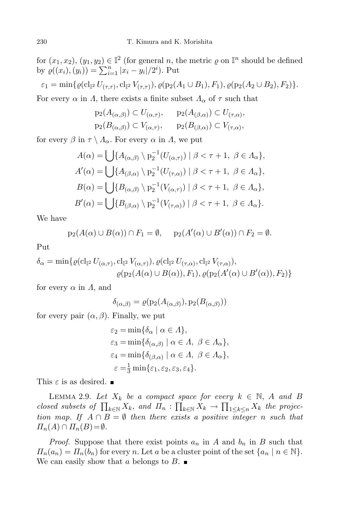for  $(x_1, x_2), (y_1, y_2) \in \mathbb{I}^2$  (for general *n*, the metric  $\varrho$  on  $\mathbb{I}^n$  should be defined by  $\rho((x_i), (y_i)) = \sum_{i=1}^n |x_i - y_i|/2^i$ . Put

$$
\varepsilon_1 = \min \{ \varrho(cl_{\mathbb{I}^2} U_{(\tau,\tau)}, \mathrm{cl}_{\mathbb{I}^2} V_{(\tau,\tau)}), \varrho(p_2(A_1 \cup B_1), F_1), \varrho(p_2(A_2 \cup B_2), F_2) \}.
$$

For every  $\alpha$  in  $\Lambda$ , there exists a finite subset  $\Lambda_{\alpha}$  of  $\tau$  such that

$$
p_2(A_{(\alpha,\beta)}) \subset U_{(\alpha,\tau)}, \quad p_2(A_{(\beta,\alpha)}) \subset U_{(\tau,\alpha)},
$$
  

$$
p_2(B_{(\alpha,\beta)}) \subset V_{(\alpha,\tau)}, \quad p_2(B_{(\beta,\alpha)}) \subset V_{(\tau,\alpha)},
$$

for every  $\beta$  in  $\tau \setminus \Lambda_{\alpha}$ . For every  $\alpha$  in  $\Lambda$ , we put

$$
A(\alpha) = \bigcup \{ A_{(\alpha,\beta)} \setminus \mathbf{p}_2^{-1}(U_{(\alpha,\tau)}) \mid \beta < \tau + 1, \ \beta \in \Lambda_\alpha \},
$$
  
\n
$$
A'(\alpha) = \bigcup \{ A_{(\beta,\alpha)} \setminus \mathbf{p}_2^{-1}(U_{(\tau,\alpha)}) \mid \beta < \tau + 1, \ \beta \in \Lambda_\alpha \},
$$
  
\n
$$
B(\alpha) = \bigcup \{ B_{(\alpha,\beta)} \setminus \mathbf{p}_2^{-1}(V_{(\alpha,\tau)}) \mid \beta < \tau + 1, \ \beta \in \Lambda_\alpha \},
$$
  
\n
$$
B'(\alpha) = \bigcup \{ B_{(\beta,\alpha)} \setminus \mathbf{p}_2^{-1}(V_{(\tau,\alpha)}) \mid \beta < \tau + 1, \ \beta \in \Lambda_\alpha \}.
$$

We have

$$
p_2(A(\alpha) \cup B(\alpha)) \cap F_1 = \emptyset, \quad p_2(A'(\alpha) \cup B'(\alpha)) \cap F_2 = \emptyset.
$$

Put

$$
\begin{aligned} \delta_\alpha = \min \{&\,varrho(\mathrm{cl}_{\mathbb{I}^2} \, U_{(\alpha,\tau)}, \mathrm{cl}_{\mathbb{I}^2} \, V_{(\alpha,\tau)}), \varrho(\mathrm{cl}_{\mathbb{I}^2} \, U_{(\tau,\alpha)}, \mathrm{cl}_{\mathbb{I}^2} \, V_{(\tau,\alpha)}), \\ &\varrho(\mathrm{p}_2(A(\alpha) \cup B(\alpha)), F_1), \varrho(\mathrm{p}_2(A'(\alpha) \cup B'(\alpha)), F_2)\}\end{aligned}
$$

for every  $\alpha$  in  $\Lambda$ , and

$$
\delta_{(\alpha,\beta)} = \varrho(p_2(A_{(\alpha,\beta)}), p_2(B_{(\alpha,\beta)}))
$$

for every pair  $(\alpha, \beta)$ . Finally, we put

$$
\varepsilon_2 = \min{\{\delta_\alpha \mid \alpha \in \Lambda\}},
$$
  
\n
$$
\varepsilon_3 = \min{\{\delta_{(\alpha,\beta)} \mid \alpha \in \Lambda, \ \beta \in \Lambda_\alpha\}},
$$
  
\n
$$
\varepsilon_4 = \min{\{\delta_{(\beta,\alpha)} \mid \alpha \in \Lambda, \ \beta \in \Lambda_\alpha\}},
$$
  
\n
$$
\varepsilon = \frac{1}{3} \min{\{\varepsilon_1, \varepsilon_2, \varepsilon_3, \varepsilon_4\}}.
$$

This  $\varepsilon$  is as desired.  $\blacksquare$ 

LEMMA 2.9. Let  $X_k$  be a compact space for every  $k \in \mathbb{N}$ , A and B closed subsets of  $\prod_{k \in \mathbb{N}} X_k$ , and  $\Pi_n : \prod_{k \in \mathbb{N}} X_k \to \prod_{1 \leq k \leq n} X_k$  the projec*tion map.* If  $A \cap B = \emptyset$  *then there exists a positive integer n such that*  $\Pi_n(A) \cap \Pi_n(B) = \emptyset$ .

*Proof.* Suppose that there exist points  $a_n$  in *A* and  $b_n$  in *B* such that  $\Pi_n(a_n) = \Pi_n(b_n)$  for every *n*. Let *a* be a cluster point of the set  $\{a_n \mid n \in \mathbb{N}\}.$ We can easily show that *a* belongs to  $B$ .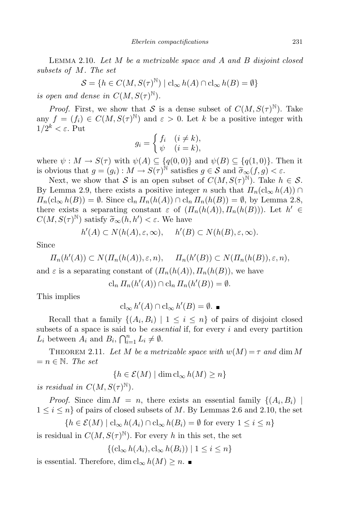Lemma 2.10. *Let M be a metrizable space and A and B disjoint closed subsets of M. The set*

$$
\mathcal{S} = \{ h \in C(M, S(\tau)^{\mathbb{N}}) \mid \operatorname{cl}_{\infty} h(A) \cap \operatorname{cl}_{\infty} h(B) = \emptyset \}
$$

*is open and dense in*  $C(M, S(\tau)^{\mathbb{N}})$ *.* 

*Proof.* First, we show that *S* is a dense subset of  $C(M, S(\tau)^{\mathbb{N}})$ . Take  $\lim_{\epsilon \to 0^+} f = (f_i) \in C(M, S(\tau)^N)$  and  $\varepsilon > 0$ . Let *k* be a positive integer with  $1/2^k < \varepsilon$ . Put

$$
g_i = \begin{cases} f_i & (i \neq k), \\ \psi & (i = k), \end{cases}
$$

where  $\psi : M \to S(\tau)$  with  $\psi(A) \subseteq \{q(0,0)\}\$  and  $\psi(B) \subseteq \{q(1,0)\}\$ . Then it is obvious that  $g = (g_i) : M \to S(\tau)^{\mathbb{N}}$  satisfies  $g \in S$  and  $\widetilde{\sigma}_{\infty}(f, g) < \varepsilon$ .<br>Note we show that  $S$  is an approximate of  $C(M, S(\tau)^{\mathbb{N}})$ . Take h

Next, we show that *S* is an open subset of  $C(M, S(\tau)^{\mathbb{N}})$ . Take  $h \in S$ . By Lemma 2.9, there exists a positive integer *n* such that  $\Pi_n(\text{cl}_\infty h(A)) \cap$  $\Pi_n(\text{cl}_\infty h(B)) = \emptyset$ . Since  $\text{cl}_n \Pi_n(h(A)) \cap \text{cl}_n \Pi_n(h(B)) = \emptyset$ , by Lemma 2.8, there exists a separating constant  $\varepsilon$  of  $(\Pi_n(h(A)), \Pi_n(h(B)))$ . Let  $h' \in$  $C(M, S(\tau)^{\mathbb{N}})$  satisfy  $\widetilde{\sigma}_{\infty}(h, h') < \varepsilon$ . We have

$$
h'(A) \subset N(h(A), \varepsilon, \infty), \quad h'(B) \subset N(h(B), \varepsilon, \infty).
$$

Since

 $\Pi_n(h'(A)) \subset N(\Pi_n(h(A)), \varepsilon, n), \quad \Pi_n(h'(B)) \subset N(\Pi_n(h(B)), \varepsilon, n),$ 

and  $\varepsilon$  is a separating constant of  $(\Pi_n(h(A)), \Pi_n(h(B))$ , we have

$$
\operatorname{cl}_n \Pi_n(h'(A)) \cap \operatorname{cl}_n \Pi_n(h'(B)) = \emptyset.
$$

This implies

$$
cl_{\infty} h'(A) \cap cl_{\infty} h'(B) = \emptyset.
$$

Recall that a family  $\{(A_i, B_i) \mid 1 \leq i \leq n\}$  of pairs of disjoint closed subsets of a space is said to be *essential* if, for every *i* and every partition L<sub>*i*</sub> between  $A_i$  and  $B_i$ ,  $\bigcap_{i=1}^n L_i \neq \emptyset$ .

THEOREM 2.11. Let M be a metrizable space with  $w(M) = \tau$  and  $\dim M$  $= n \in \mathbb{N}$ *. The set* 

 ${h \in \mathcal{E}(M) \mid \dim \mathrm{cl}_{\infty} h(M) \geq n}$ 

*is residual in*  $C(M, S(\tau)^N)$ *.* 

*Proof.* Since dim  $M = n$ , there exists an essential family  $\{(A_i, B_i)$  $1 \leq i \leq n$  of pairs of closed subsets of M. By Lemmas 2.6 and 2.10, the set

$$
\{h \in \mathcal{E}(M) \mid \operatorname{cl}_{\infty} h(A_i) \cap \operatorname{cl}_{\infty} h(B_i) = \emptyset \text{ for every } 1 \leq i \leq n\}
$$

is residual in  $C(M, S(\tau)^N)$ . For every *h* in this set, the set

*{*(cl*<sup>∞</sup> h*(*Ai*)*,* cl*<sup>∞</sup> h*(*Bi*)) *|* 1 *≤ i ≤ n}*

is essential. Therefore, dim  $cl_{\infty} h(M) \geq n$ . ■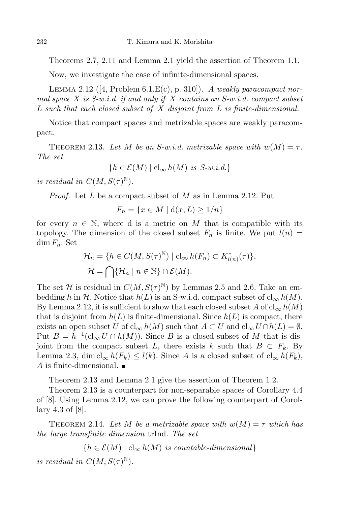Theorems 2.7, 2.11 and Lemma 2.1 yield the assertion of Theorem 1.1.

Now, we investigate the case of infinite-dimensional spaces.

LEMMA 2.12 ([4, Problem 6.1. $E(c)$ , p. 310]). *A* weakly paracompact nor*mal space X is S-w.i.d. if and only if X contains an S-w.i.d. compact subset L such that each closed subset of X disjoint from L is finite-dimensional.*

Notice that compact spaces and metrizable spaces are weakly paracompact.

THEOREM 2.13. Let M be an S-w.i.d. metrizable space with  $w(M) = \tau$ . *The set*

*{h ∈ E*(*M*) *|* cl*<sup>∞</sup> h*(*M*) *is S-w.i.d.}*

*is residual in*  $C(M, S(\tau)^{\mathbb{N}})$ *.* 

*Proof.* Let *L* be a compact subset of *M* as in Lemma 2.12. Put

$$
F_n = \{ x \in M \mid \mathbf{d}(x, L) \ge 1/n \}
$$

for every  $n \in \mathbb{N}$ , where d is a metric on M that is compatible with its topology. The dimension of the closed subset  $F_n$  is finite. We put  $l(n)$ dim *Fn*. Set

$$
\mathcal{H}_n = \{ h \in C(M, S(\tau)^{\mathbb{N}}) \mid \mathrm{cl}_{\infty} h(F_n) \subset K_{l(n)}^*(\tau) \},
$$
  

$$
\mathcal{H} = \bigcap \{ \mathcal{H}_n \mid n \in \mathbb{N} \} \cap \mathcal{E}(M).
$$

The set *H* is residual in  $C(M, S(\tau)^{N})$  by Lemmas 2.5 and 2.6. Take an embedding *h* in *H*. Notice that *h*(*L*) is an S-w.i.d. compact subset of cl<sub>∞</sub> *h*(*M*). By Lemma 2.12, it is sufficient to show that each closed subset *A* of  $cl_{\infty} h(M)$ that is disjoint from  $h(L)$  is finite-dimensional. Since  $h(L)$  is compact, there exists an open subset *U* of  $cl_{\infty} h(M)$  such that  $A \subset U$  and  $cl_{\infty} U \cap h(L) = \emptyset$ . Put  $B = h^{-1}(cl_{\infty} U \cap h(M))$ . Since *B* is a closed subset of *M* that is disjoint from the compact subset *L*, there exists *k* such that  $B \subset F_k$ . By Lemma 2.3, dim cl<sub>∞</sub>  $h(F_k) \leq l(k)$ . Since *A* is a closed subset of cl<sub>∞</sub>  $h(F_k)$ , *A* is finite-dimensional. ■

Theorem 2.13 and Lemma 2.1 give the assertion of Theorem 1.2.

Theorem 2.13 is a counterpart for non-separable spaces of Corollary 4.4 of [8]. Using Lemma 2.12, we can prove the following counterpart of Corollary 4.3 of [8].

THEOREM 2.14. Let M be a metrizable space with  $w(M) = \tau$  which has *the large transfinite dimension* trInd*. The set*

*{h ∈ E*(*M*) *|* cl*<sup>∞</sup> h*(*M*) *is countable-dimensional}*

*is residual in*  $C(M, S(\tau)^{\mathbb{N}})$ *.*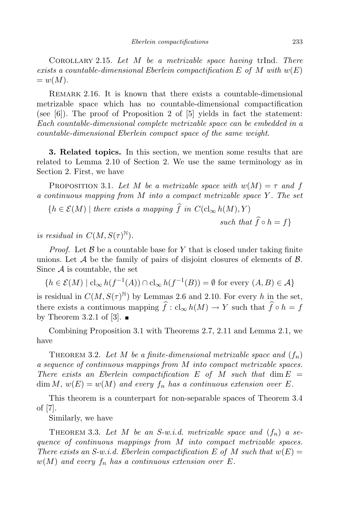Corollary 2.15. *Let M be a metrizable space having* trInd*. There exists a countable-dimensional Eberlein compactification E of M with w*(*E*)  $= w(M)$ .

Remark 2.16. It is known that there exists a countable-dimensional metrizable space which has no countable-dimensional compactification (see  $[6]$ ). The proof of Proposition 2 of  $[5]$  yields in fact the statement: *Each countable-dimensional complete metrizable space can be embedded in a countable-dimensional Eberlein compact space of the same weight*.

**3. Related topics.** In this section, we mention some results that are related to Lemma 2.10 of Section 2. We use the same terminology as in Section 2. First, we have

PROPOSITION 3.1. Let M be a metrizable space with  $w(M) = \tau$  and f *a continuous mapping from M into a compact metrizable space Y . The set*

 ${h \in \mathcal{E}(M) \mid \text{there exists a mapping } \hat{f} \text{ in } C(\text{cl}_\infty h(M), Y)}$ *such that*  $\hat{f} \circ h = f$ }

*is residual in*  $C(M, S(\tau)^{\mathbb{N}})$ *.* 

*Proof.* Let *B* be a countable base for *Y* that is closed under taking finite unions. Let *A* be the family of pairs of disjoint closures of elements of *B*. Since  $A$  is countable, the set

$$
\{h \in \mathcal{E}(M) \mid \operatorname{cl}_{\infty} h(f^{-1}(A)) \cap \operatorname{cl}_{\infty} h(f^{-1}(B)) = \emptyset \text{ for every } (A, B) \in \mathcal{A}\}
$$

is residual in  $C(M, S(\tau)^{\mathbb{N}})$  by Lemmas 2.6 and 2.10. For every h in the set, there exists a continuous mapping  $\hat{f}$  : cl<sub>∞</sub>  $h(M) \rightarrow Y$  such that  $\hat{f} \circ h = f$ by Theorem 3.2.1 of [3].  $\blacksquare$ 

Combining Proposition 3.1 with Theorems 2.7, 2.11 and Lemma 2.1, we have

THEOREM 3.2. Let M be a finite-dimensional metrizable space and  $(f_n)$ *a sequence of continuous mappings from M into compact metrizable spaces. There exists* an *Eberlein compactification*  $E$  *of*  $M$  *such that*  $\dim E$  $\dim M, w(E) = w(M)$  and every  $f_n$  has a continuous extension over *E*.

This theorem is a counterpart for non-separable spaces of Theorem 3.4 of [7].

Similarly, we have

THEOREM 3.3. Let M be an S-w.i.d. metrizable space and  $(f_n)$  a se*quence of continuous mappings from M into compact metrizable spaces. There exists* an *S*-w.*i.d. Eberlein compactification E of M such that*  $w(E) =$  $w(M)$  *and every*  $f_n$  *has a continuous extension over E.*